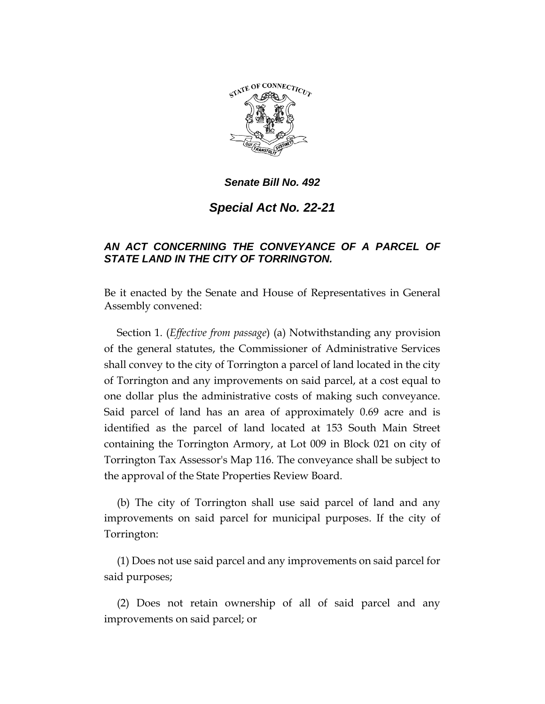

*Senate Bill No. 492*

*Special Act No. 22-21*

## *AN ACT CONCERNING THE CONVEYANCE OF A PARCEL OF STATE LAND IN THE CITY OF TORRINGTON.*

Be it enacted by the Senate and House of Representatives in General Assembly convened:

Section 1. (*Effective from passage*) (a) Notwithstanding any provision of the general statutes, the Commissioner of Administrative Services shall convey to the city of Torrington a parcel of land located in the city of Torrington and any improvements on said parcel, at a cost equal to one dollar plus the administrative costs of making such conveyance. Said parcel of land has an area of approximately 0.69 acre and is identified as the parcel of land located at 153 South Main Street containing the Torrington Armory, at Lot 009 in Block 021 on city of Torrington Tax Assessor's Map 116. The conveyance shall be subject to the approval of the State Properties Review Board.

(b) The city of Torrington shall use said parcel of land and any improvements on said parcel for municipal purposes. If the city of Torrington:

(1) Does not use said parcel and any improvements on said parcel for said purposes;

(2) Does not retain ownership of all of said parcel and any improvements on said parcel; or